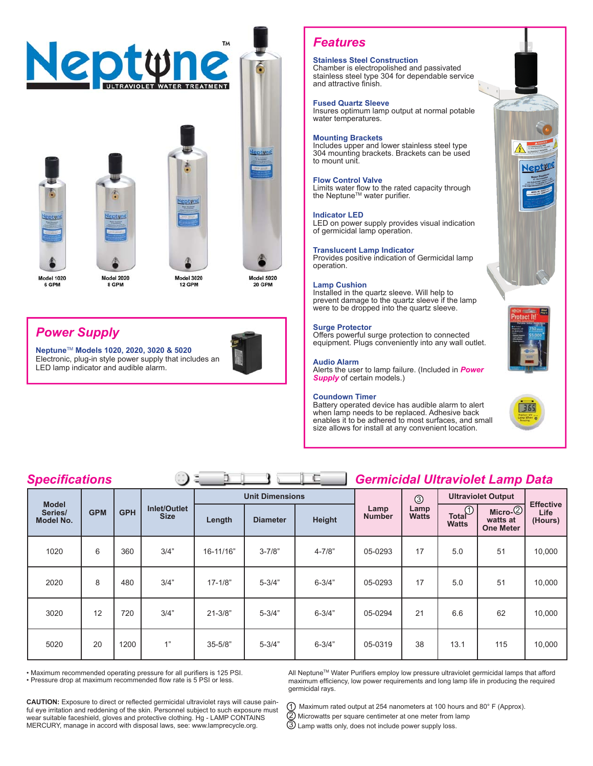

# *Power Supply*

**Neptune**TM **Models 1020, 2020, 3020 & 5020**  Electronic, plug-in style power supply that includes an LED lamp indicator and audible alarm.



# *Features*

# **Stainless Steel Construction**

Chamber is electropolished and passivated stainless steel type 304 for dependable service and attractive finish.

### **Fused Quartz Sleeve**

Insures optimum lamp output at normal potable water temperatures.

### **Mounting Brackets**

Includes upper and lower stainless steel type 304 mounting brackets. Brackets can be used to mount unit.

### **Flow Control Valve**

Limits water flow to the rated capacity through the Neptune<sup> $TM$ </sup> water purifier.

### **Indicator LED**

LED on power supply provides visual indication of germicidal lamp operation.

### **Translucent Lamp Indicator**

Provides positive indication of Germicidal lamp operation.

### **Lamp Cushion**

Installed in the quartz sleeve. Will help to prevent damage to the quartz sleeve if the lamp were to be dropped into the quartz sleeve.

### **Surge Protector**

Offers powerful surge protection to connected equipment. Plugs conveniently into any wall outlet.

### **Audio Alarm**

Alerts the user to lamp failure. (Included in *Power Supply* of certain models.)

#### **Coundown Timer**

Battery operated device has audible alarm to alert when lamp needs to be replaced. Adhesive back enables it to be adhered to most surfaces, and small size allows for install at any convenient location.





# **Specifications** Germicidal Ultraviolet Lamp Data

| <u> -pecunoaneme</u><br>$\tilde{\phantom{a}}$ |            |            |                                    |                        |                 |            | ------                |                      |                                 |                                           |                                     |
|-----------------------------------------------|------------|------------|------------------------------------|------------------------|-----------------|------------|-----------------------|----------------------|---------------------------------|-------------------------------------------|-------------------------------------|
| <b>Model</b><br>Series/<br><b>Model No.</b>   | <b>GPM</b> | <b>GPH</b> | <b>Inlet/Outlet</b><br><b>Size</b> | <b>Unit Dimensions</b> |                 |            |                       | $\circledS$          | <b>Ultraviolet Output</b>       |                                           |                                     |
|                                               |            |            |                                    | Length                 | <b>Diameter</b> | Height     | Lamp<br><b>Number</b> | Lamp<br><b>Watts</b> | $Total^{\circ}$<br><b>Watts</b> | $Micro-2$<br>watts at<br><b>One Meter</b> | <b>Effective</b><br>Life<br>(Hours) |
| 1020                                          | 6          | 360        | 3/4"                               | 16-11/16"              | $3 - 7/8"$      | $4 - 7/8"$ | 05-0293               | 17                   | 5.0                             | 51                                        | 10,000                              |
| 2020                                          | 8          | 480        | 3/4"                               | $17 - 1/8"$            | $5 - 3/4"$      | $6 - 3/4"$ | 05-0293               | 17                   | 5.0                             | 51                                        | 10,000                              |
| 3020                                          | 12         | 720        | 3/4"                               | $21 - 3/8"$            | $5 - 3/4"$      | $6 - 3/4"$ | 05-0294               | 21                   | 6.6                             | 62                                        | 10,000                              |
| 5020                                          | 20         | 1200       | 1"                                 | $35 - 5/8"$            | $5 - 3/4"$      | $6 - 3/4"$ | 05-0319               | 38                   | 13.1                            | 115                                       | 10,000                              |

• Maximum recommended operating pressure for all purifiers is 125 PSI.

• Pressure drop at maximum recommended flow rate is 5 PSI or less.

**CAUTION:** Exposure to direct or reflected germicidal ultraviolet rays will cause painful eye irritation and reddening of the skin. Personnel subject to such exposure must wear suitable faceshield, gloves and protective clothing. Hg - LAMP CONTAINS MERCURY, manage in accord with disposal laws, see: www.lamprecycle.org.

All Neptune™ Water Purifiers employ low pressure ultraviolet germicidal lamps that afford maximum efficiency, low power requirements and long lamp life in producing the required germicidal rays.

 Maximum rated output at 254 nanometers at 100 hours and 80° F (Approx). Microwatts per square centimeter at one meter from lamp Lamp watts only, does not include power supply loss. 1 2 3